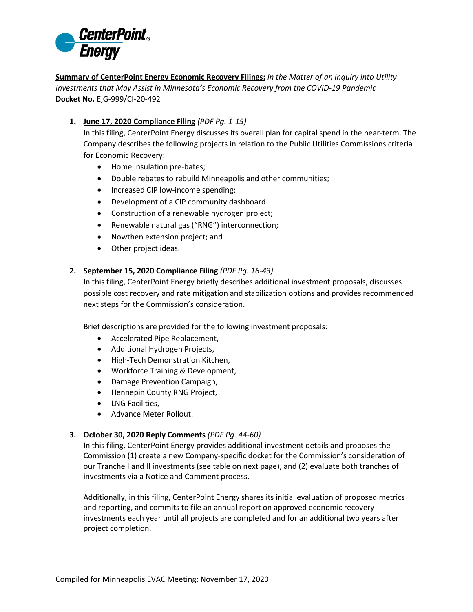

**Summary of CenterPoint Energy Economic Recovery Filings:** *In the Matter of an Inquiry into Utility Investments that May Assist in Minnesota's Economic Recovery from the COVID-19 Pandemic* **Docket No.** E,G-999/CI-20-492

**1. June 17, 2020 Compliance Filing** *(PDF Pg. 1-15)*

In this filing, CenterPoint Energy discusses its overall plan for capital spend in the near-term. The Company describes the following projects in relation to the Public Utilities Commissions criteria for Economic Recovery:

- Home insulation pre-bates;
- Double rebates to rebuild Minneapolis and other communities;
- Increased CIP low-income spending;
- Development of a CIP community dashboard
- Construction of a renewable hydrogen project;
- Renewable natural gas ("RNG") interconnection;
- Nowthen extension project; and
- Other project ideas.

## **2. September 15, 2020 Compliance Filing** *(PDF Pg. 16-43)*

In this filing, CenterPoint Energy briefly describes additional investment proposals, discusses possible cost recovery and rate mitigation and stabilization options and provides recommended next steps for the Commission's consideration.

Brief descriptions are provided for the following investment proposals:

- Accelerated Pipe Replacement,
- Additional Hydrogen Projects,
- High-Tech Demonstration Kitchen,
- Workforce Training & Development,
- Damage Prevention Campaign,
- Hennepin County RNG Project,
- LNG Facilities,
- Advance Meter Rollout.

## **3. October 30, 2020 Reply Comments** *(PDF Pg. 44-60)*

In this filing, CenterPoint Energy provides additional investment details and proposes the Commission (1) create a new Company-specific docket for the Commission's consideration of our Tranche I and II investments (see table on next page), and (2) evaluate both tranches of investments via a Notice and Comment process.

Additionally, in this filing, CenterPoint Energy shares its initial evaluation of proposed metrics and reporting, and commits to file an annual report on approved economic recovery investments each year until all projects are completed and for an additional two years after project completion.